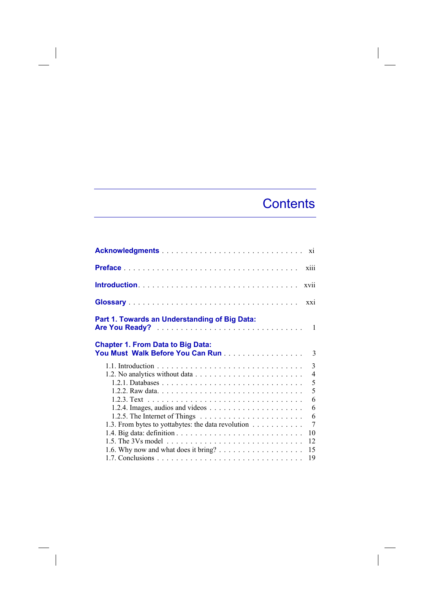# Contents

 $\overline{\phantom{a}}$ 

| xiii                                                                                                                                        |                     |
|---------------------------------------------------------------------------------------------------------------------------------------------|---------------------|
| xvii                                                                                                                                        |                     |
| $\overline{X}X\overline{1}$                                                                                                                 |                     |
| Part 1. Towards an Understanding of Big Data:                                                                                               |                     |
| <b>Chapter 1. From Data to Big Data:</b><br>You Must Walk Before You Can Run                                                                | 3                   |
|                                                                                                                                             | $\overline{3}$<br>5 |
| 1.2.4. Images, audios and videos $\dots \dots \dots \dots \dots \dots \dots$                                                                | 5<br>6<br>6         |
| 1.2.5. The Internet of Things $\dots \dots \dots \dots \dots \dots \dots \dots$<br>1.3. From bytes to yottabytes: the data revolution<br>10 | 6<br>7              |
| 12<br>1.6. Why now and what does it bring? $\dots \dots \dots \dots \dots \dots$<br>15                                                      |                     |
| 19                                                                                                                                          |                     |

 $\overline{\phantom{a}}$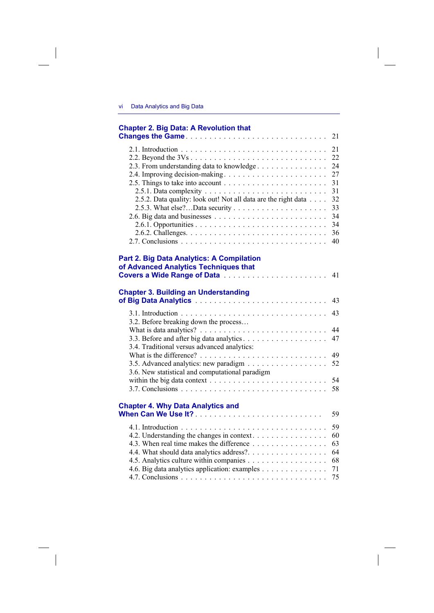## **Chapter 2. Big Data: A Revolution that Changes the Game.**

| 2.5.1. Data complexity $\ldots \ldots \ldots \ldots \ldots \ldots \ldots \ldots \ldots 31$ |     |
|--------------------------------------------------------------------------------------------|-----|
| 2.5.2. Data quality: look out! Not all data are the right data 32                          |     |
|                                                                                            |     |
|                                                                                            |     |
|                                                                                            | -34 |
|                                                                                            |     |
|                                                                                            |     |
|                                                                                            |     |

### **Part 2. Big Data Analytics: A Compilation** of Advanced Analytics Techniques that

### **Chapter 3. Building an Understanding**

| 3.2. Before breaking down the process                                                        |  |
|----------------------------------------------------------------------------------------------|--|
|                                                                                              |  |
|                                                                                              |  |
| 3.4. Traditional versus advanced analytics:                                                  |  |
|                                                                                              |  |
|                                                                                              |  |
| 3.6. New statistical and computational paradigm                                              |  |
| within the big data context $\dots \dots \dots \dots \dots \dots \dots \dots \dots \dots$ 54 |  |
|                                                                                              |  |
|                                                                                              |  |

#### **Chapter 4. Why Data Analytics and**

| 4.3. When real time makes the difference $\ldots \ldots \ldots \ldots \ldots$ 63                                       |  |
|------------------------------------------------------------------------------------------------------------------------|--|
|                                                                                                                        |  |
|                                                                                                                        |  |
| 4.6. Big data analytics application: examples 71                                                                       |  |
| 4.7. Conclusions $\ldots$ $\ldots$ $\ldots$ $\ldots$ $\ldots$ $\ldots$ $\ldots$ $\ldots$ $\ldots$ $\ldots$ $\ldots$ 75 |  |
|                                                                                                                        |  |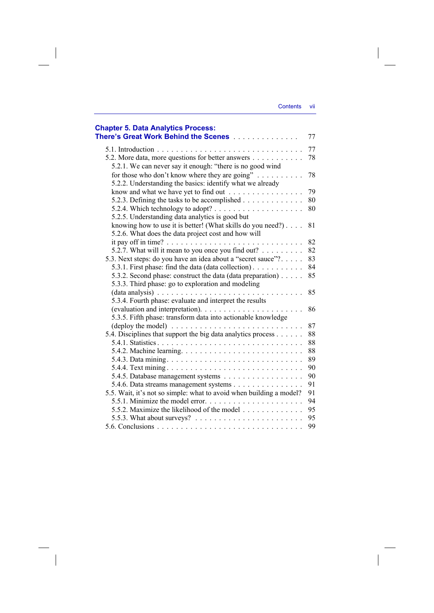| Contents | VII |
|----------|-----|
|          |     |

 $\begin{array}{c} \hline \end{array}$ 

| <b>Chapter 5. Data Analytics Process:</b><br>There's Great Work Behind the Scenes                | 77 |
|--------------------------------------------------------------------------------------------------|----|
|                                                                                                  | 77 |
| 5.2. More data, more questions for better answers                                                | 78 |
| 5.2.1. We can never say it enough: "there is no good wind                                        |    |
| for those who don't know where they are going" $\dots \dots \dots$                               | 78 |
| 5.2.2. Understanding the basics: identify what we already                                        |    |
| know and what we have yet to find out                                                            | 79 |
| 5.2.3. Defining the tasks to be accomplished                                                     | 80 |
| 5.2.4. Which technology to adopt? $\dots \dots \dots \dots \dots \dots \dots$                    | 80 |
| 5.2.5. Understanding data analytics is good but                                                  |    |
| knowing how to use it is better! (What skills do you need?)                                      | 81 |
| 5.2.6. What does the data project cost and how will                                              |    |
|                                                                                                  | 82 |
| 5.2.7. What will it mean to you once you find out? $\dots \dots$                                 | 82 |
| 5.3. Next steps: do you have an idea about a "secret sauce"?                                     | 83 |
| 5.3.1. First phase: find the data (data collection).                                             | 84 |
| 5.3.2. Second phase: construct the data (data preparation)                                       | 85 |
| 5.3.3. Third phase: go to exploration and modeling                                               |    |
|                                                                                                  | 85 |
| 5.3.4. Fourth phase: evaluate and interpret the results                                          |    |
|                                                                                                  | 86 |
| 5.3.5. Fifth phase: transform data into actionable knowledge                                     |    |
| $(\text{depth} y \text{ the model}) \dots \dots \dots \dots \dots \dots \dots \dots \dots \dots$ | 87 |
| 5.4. Disciplines that support the big data analytics process                                     | 88 |
|                                                                                                  | 88 |
|                                                                                                  | 88 |
|                                                                                                  | 89 |
|                                                                                                  | 90 |
| 5.4.5. Database management systems                                                               | 90 |
| 5.4.6. Data streams management systems                                                           | 91 |
| 5.5. Wait, it's not so simple: what to avoid when building a model?                              | 91 |
|                                                                                                  | 94 |
| 5.5.2. Maximize the likelihood of the model                                                      | 95 |
|                                                                                                  | 95 |
| 5.6. Conclusions                                                                                 | 99 |

 $\begin{array}{c} \begin{array}{c} \begin{array}{c} \end{array} \\ \begin{array}{c} \end{array} \end{array} \end{array}$ 

 $\begin{array}{c} \hline \end{array}$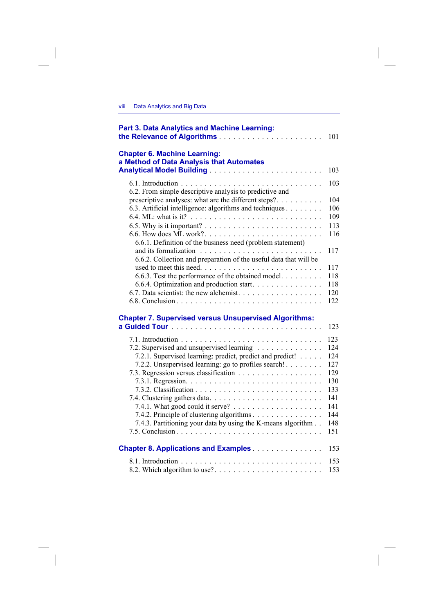### Yiii Data Analytics and Big Data

 $\overline{\phantom{a}}$ 

| <b>Part 3. Data Analytics and Machine Learning:</b>                                  | 101 |
|--------------------------------------------------------------------------------------|-----|
| <b>Chapter 6. Machine Learning:</b><br>a Method of Data Analysis that Automates      |     |
|                                                                                      | 103 |
| 6.2. From simple descriptive analysis to predictive and                              | 103 |
| prescriptive analyses: what are the different steps?                                 | 104 |
| 6.3. Artificial intelligence: algorithms and techniques                              | 106 |
|                                                                                      | 109 |
|                                                                                      | 113 |
| 6.6. How does ML work?<br>6.6.1. Definition of the business need (problem statement) | 116 |
|                                                                                      | 117 |
| 6.6.2. Collection and preparation of the useful data that will be                    |     |
|                                                                                      | 117 |
| 6.6.3. Test the performance of the obtained model.                                   | 118 |
| 6.6.4. Optimization and production start.                                            | 118 |
|                                                                                      | 120 |
|                                                                                      | 122 |
| <b>Chapter 7. Supervised versus Unsupervised Algorithms:</b>                         |     |
|                                                                                      | 123 |
|                                                                                      |     |
|                                                                                      | 123 |
| 7.2. Supervised and unsupervised learning                                            | 124 |
| 7.2.1. Supervised learning: predict, predict and predict!                            | 124 |
| 7.2.2. Unsupervised learning: go to profiles search!                                 | 127 |
|                                                                                      | 129 |
|                                                                                      | 130 |
|                                                                                      | 133 |
|                                                                                      | 141 |
|                                                                                      | 141 |
| 7.4.2. Principle of clustering algorithms                                            | 144 |
| 7.4.3. Partitioning your data by using the K-means algorithm                         | 148 |
|                                                                                      | 151 |
| <b>Chapter 8. Applications and Examples</b>                                          | 153 |
|                                                                                      | 153 |
|                                                                                      | 153 |